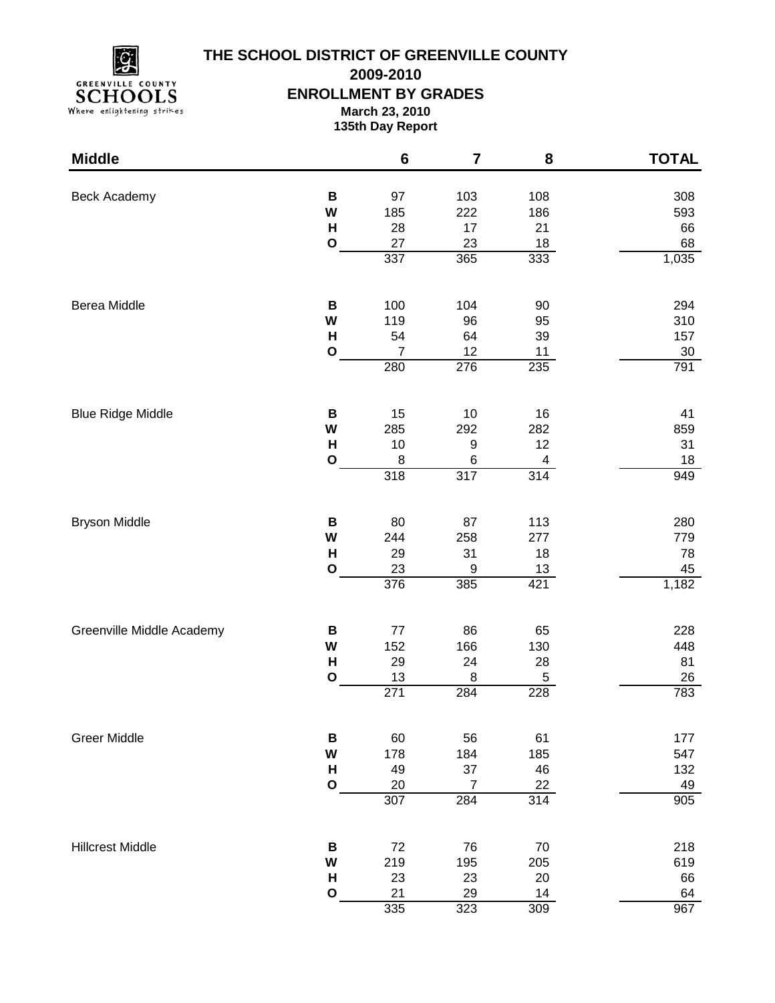

## **THE SCHOOL DISTRICT OF GREENVILLE COUNTY**

**2009-2010**

## **ENROLLMENT BY GRADES**

**March 23, 2010**

**135th Day Report**

| <b>Middle</b>             |                   | $6\phantom{1}6$       | $\overline{\mathbf{7}}$ | 8                | <b>TOTAL</b>     |
|---------------------------|-------------------|-----------------------|-------------------------|------------------|------------------|
| <b>Beck Academy</b>       | B<br>W<br>H       | 97<br>185<br>28       | 103<br>222<br>17        | 108<br>186<br>21 | 308<br>593<br>66 |
|                           | $\mathbf O$       | 27<br>337             | 23<br>365               | 18<br>333        | 68<br>1,035      |
| Berea Middle              | $\, {\bf B}$<br>W | 100<br>119            | 104<br>96               | 90<br>95         | 294<br>310       |
|                           | $\mathsf{H}$      | 54                    | 64                      | 39               | 157              |
|                           | $\mathbf O$       | $\overline{7}$<br>280 | 12<br>276               | 11<br>235        | 30<br>791        |
| <b>Blue Ridge Middle</b>  | B                 | 15                    | $10$                    | 16               | 41               |
|                           | W<br>$\mathsf{H}$ | 285<br>10             | 292<br>$\boldsymbol{9}$ | 282<br>12        | 859<br>31        |
|                           | O                 | 8                     | 6                       | 4                | 18               |
|                           |                   | 318                   | 317                     | 314              | 949              |
| <b>Bryson Middle</b>      | B<br>W            | 80                    | 87                      | 113<br>277       | 280<br>779       |
|                           | H                 | 244<br>29             | 258<br>31               | 18               | 78               |
|                           | $\mathbf{o}$      | 23                    | 9                       | 13               | 45               |
|                           |                   | 376                   | 385                     | 421              | 1,182            |
| Greenville Middle Academy | B                 | $77$                  | 86                      | 65               | 228              |
|                           | W<br>H            | 152<br>29             | 166<br>24               | 130<br>28        | 448<br>81        |
|                           | $\mathbf{o}$      | 13                    | $\,8\,$                 | 5                | 26               |
|                           |                   | 271                   | 284                     | 228              | 783              |
| <b>Greer Middle</b>       | В                 | 60                    | 56                      | 61               | 177              |
|                           | W<br>H            | 178<br>49             | 184<br>37               | 185<br>46        | 547<br>132       |
|                           | $\mathbf O$       | 20                    | $\overline{7}$          | 22               | 49               |
|                           |                   | 307                   | 284                     | 314              | 905              |
| <b>Hillcrest Middle</b>   | B                 | 72                    | 76                      | 70               | 218              |
|                           | W<br>$\mathsf{H}$ | 219<br>23             | 195<br>23               | 205<br>20        | 619<br>66        |
|                           | $\mathbf{o}$      | 21                    | 29                      | 14               | 64               |
|                           |                   | 335                   | 323                     | 309              | 967              |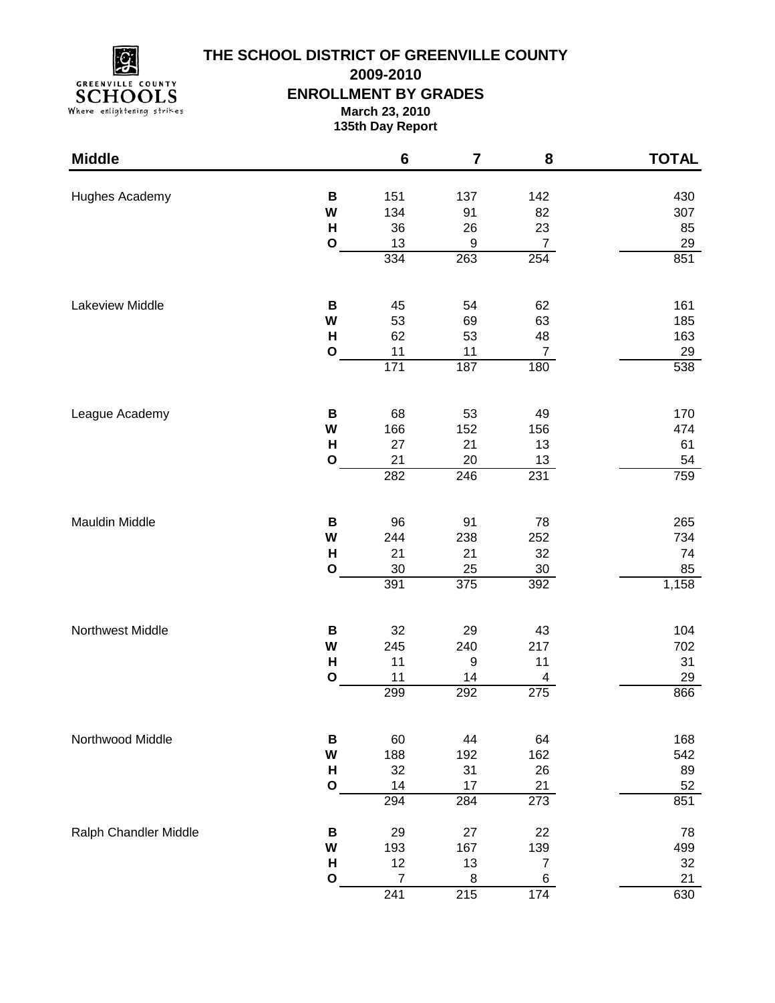

## **THE SCHOOL DISTRICT OF GREENVILLE COUNTY**

**2009-2010**

**ENROLLMENT BY GRADES**

**March 23, 2010**

**135th Day Report**

| <b>Middle</b>         |              | $\bf 6$               | $\overline{\mathbf{7}}$ | 8                | <b>TOTAL</b> |
|-----------------------|--------------|-----------------------|-------------------------|------------------|--------------|
| Hughes Academy        | В            | 151                   | 137                     | 142              | 430          |
|                       | W            | 134                   | 91                      | 82               | 307          |
|                       | H            | 36                    | 26                      | 23               | 85           |
|                       | O            | 13                    | $\boldsymbol{9}$        | $\boldsymbol{7}$ | 29           |
|                       |              | 334                   | 263                     | 254              | 851          |
| Lakeview Middle       | $\, {\bf B}$ | 45                    | 54                      | 62               | 161          |
|                       | W            | 53                    | 69                      | 63               | 185          |
|                       | $\mathsf{H}$ | 62                    | 53                      | 48               | 163          |
|                       | $\mathbf O$  | $11$                  | $11$                    | $\overline{7}$   | 29           |
|                       |              | $171$                 | 187                     | 180              | 538          |
| League Academy        | B            | 68                    | 53                      | 49               | 170          |
|                       | W            | 166                   | 152                     | 156              | 474          |
|                       | $\mathsf{H}$ | 27                    | 21                      | 13               | 61           |
|                       | $\mathbf{o}$ | 21<br>282             | 20<br>246               | 13<br>231        | 54<br>759    |
|                       |              |                       |                         |                  |              |
| <b>Mauldin Middle</b> | B            | 96                    | 91                      | 78               | 265          |
|                       | W            | 244                   | 238                     | 252              | 734          |
|                       | H            | 21                    | 21                      | 32               | 74           |
|                       | $\mathbf{o}$ | 30<br>391             | 25<br>375               | 30<br>392        | 85           |
|                       |              |                       |                         |                  | 1,158        |
| Northwest Middle      | B            | 32                    | 29                      | 43               | 104          |
|                       | W            | 245                   | 240                     | 217              | 702          |
|                       | H            | 11                    | $\boldsymbol{9}$        | 11               | 31           |
|                       | $\mathbf{o}$ | 11<br>299             | 14<br>292               | 4<br>275         | 29<br>866    |
|                       |              |                       |                         |                  |              |
| Northwood Middle      | B            | 60                    | 44                      | 64               | 168          |
|                       | W            | 188                   | 192                     | 162              | 542          |
|                       | H            | 32                    | 31<br>17                | 26               | 89           |
|                       | $\mathbf O$  | 14<br>294             | 284                     | 21<br>273        | 52<br>851    |
| Ralph Chandler Middle | B            | 29                    | 27                      | 22               | 78           |
|                       | W            | 193                   | 167                     | 139              | 499          |
|                       | Н            | 12                    | 13                      | 7                | 32           |
|                       | O            | $\overline{7}$<br>241 | 8<br>$\overline{215}$   | 6<br>174         | 21<br>630    |
|                       |              |                       |                         |                  |              |